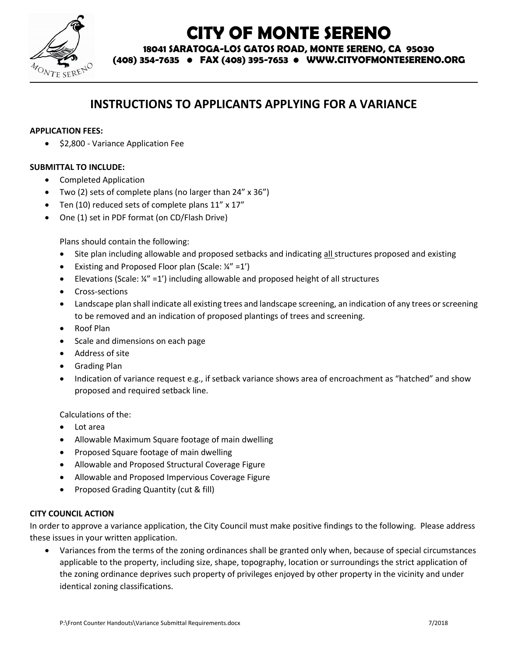

# **CITY OF MONTE SERENO**

**18041 SARATOGA-LOS GATOS ROAD, MONTE SERENO, CA 95030**

**(408) 354-7635 • FAX (408) 395-7653 • WWW.CITYOFMONTESERENO.ORG**

# **INSTRUCTIONS TO APPLICANTS APPLYING FOR A VARIANCE**

#### **APPLICATION FEES:**

• \$2,800 - Variance Application Fee

#### **SUBMITTAL TO INCLUDE:**

- Completed Application
- Two (2) sets of complete plans (no larger than 24" x 36")
- Ten (10) reduced sets of complete plans 11" x 17"
- One (1) set in PDF format (on CD/Flash Drive)

Plans should contain the following:

- Site plan including allowable and proposed setbacks and indicating all structures proposed and existing
- Existing and Proposed Floor plan (Scale:  $\frac{1}{4}$ " =1')
- Elevations (Scale:  $\frac{1}{4}$ " = 1') including allowable and proposed height of all structures
- **•** Cross-sections
- Landscape plan shall indicate all existing trees and landscape screening, an indication of any trees or screening to be removed and an indication of proposed plantings of trees and screening.
- Roof Plan
- Scale and dimensions on each page
- Address of site
- Grading Plan
- Indication of variance request e.g., if setback variance shows area of encroachment as "hatched" and show proposed and required setback line.

Calculations of the:

- Lot area
- Allowable Maximum Square footage of main dwelling
- Proposed Square footage of main dwelling
- Allowable and Proposed Structural Coverage Figure
- Allowable and Proposed Impervious Coverage Figure
- Proposed Grading Quantity (cut & fill)

#### **CITY COUNCIL ACTION**

In order to approve a variance application, the City Council must make positive findings to the following. Please address these issues in your written application.

 Variances from the terms of the zoning ordinances shall be granted only when, because of special circumstances applicable to the property, including size, shape, topography, location or surroundings the strict application of the zoning ordinance deprives such property of privileges enjoyed by other property in the vicinity and under identical zoning classifications.